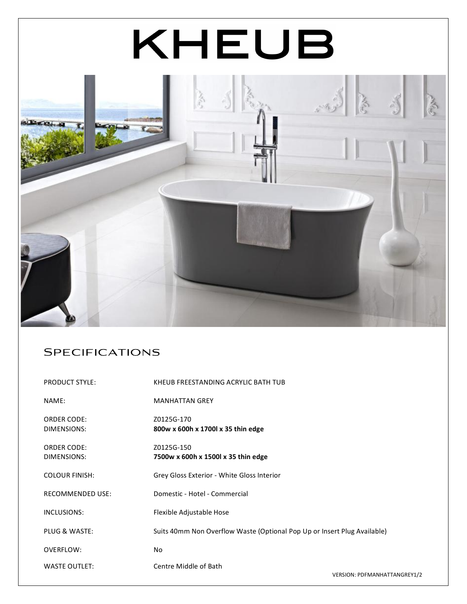# KHEUB



## **SPECIFICATIONS**

| <b>PRODUCT STYLE:</b>   | KHEUB FREESTANDING ACRYLIC BATH TUB                                      |
|-------------------------|--------------------------------------------------------------------------|
| NAME:                   | <b>MANHATTAN GREY</b>                                                    |
| <b>ORDER CODE:</b>      | Z0125G-170                                                               |
| DIMENSIONS:             | 800w x 600h x 1700l x 35 thin edge                                       |
| <b>ORDER CODE:</b>      | Z0125G-150                                                               |
| DIMENSIONS:             | 7500w x 600h x 1500l x 35 thin edge                                      |
| <b>COLOUR FINISH:</b>   | Grey Gloss Exterior - White Gloss Interior                               |
| <b>RECOMMENDED USE:</b> | Domestic - Hotel - Commercial                                            |
| INCLUSIONS:             | Flexible Adjustable Hose                                                 |
| PLUG & WASTE:           | Suits 40mm Non Overflow Waste (Optional Pop Up or Insert Plug Available) |
| OVERFLOW:               | No                                                                       |
| <b>WASTE OUTLET:</b>    | Centre Middle of Bath                                                    |
|                         | <b>VERSION: PDFMANHATTANGREY1/2</b>                                      |